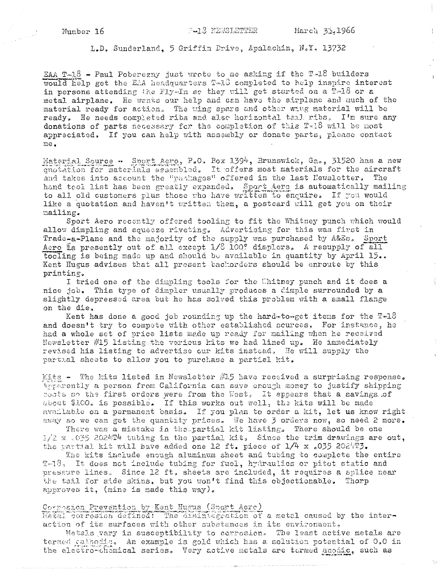**P-18 NEWSLETTER** 

L.D. Sunderland, 5 Griffin Drive, Apalachin, N.Y. 13732

EAA T-18 - Paul Poberezny just wrote to me asking if the T-18 builders would help get the EAA headquarters T-16 completed to help inspire interest in persons attending the Fly-. In so they will get started on a T-18 or a metal airplane. He wants our help and can have the airplane and much of the material ready for action. The wing spars and other wing material will be ready. He needs completed ribs and also horizontal tail ribs, I'm sure any donations of parts necessary for the completion of this  $T<sub>0</sub>18$  will be nost appreciated. If you can help with assembly or donate parts, please contact  $me<sub>•</sub>$ 

Material Source - Sport Aero, P.O. Box 1394, Brunswick, Ga., 31520 has a new quotation for materials assembled. It offers most materials for the aircraft and takes into account the "packages" offered in the last Newsletter. The hand tool list has been greatly expanded. Sport Aero is automatically mailing to all old customers plus those who have written to enquire. If you would like a quotation and haven't written them, a postcard will get you on their mailing.

Sport Aero recently offered tooling to fit the Whitney punch which would allow dimpling and squeeze riveting. Advertising for this was first in Trade-a-Plane and the majority of the supply was purchased by A&Es, Sport Aero is presently out of all except 1/3 100? dimplers. A resupply of all tooling is being made up and should be available in quantity by April 15.. Kent Hugus advises that all present backorders should be enroute by this printing.

I tried one of the dimpling tools for the Uhitney punch and it does a nice job. This type of dimpler usually produces a dimple surrounded by a slightly depressed area but he has solved this problem with a small flange on the die,

Kent has done a good job rounding up the hard-to-get items for the  $T=18$ and doesn't try to compete with other established scurces, For instance, he had a whole set of price lists made up ready for mailing when he received Newsletter #15 listing the various kits we had lined up. He immediately revised his listing to advertise our kits instead. He will supply the partial sheets to allow you to purchase a partial kit.

Kits - The kits listed in Newsletter #15 have received a surprising response. Appearently a person from California can save enough money to justify shipping costs so the first orders were from the West. It appears that a savings of about \$100. is possible. If this works out well, the kits will be made available on a permanent basis. If you plan to order a kit, let us know right away so we can get the quantity prices. We have 3 orders now, so need 2 more.

There was a mistake in the partial kit listing. There should be one  $1/2 \times 0.035$  2024T4 tubing in the partial kit, Since the trim drawings are out, the partial kit will have added one 12 ft. piece of  $1/4$  x .035 2024T3.

The kits include enough aluminum sheet and tubing to complete the entire T-18, It does not include tubing for fuel, hydraulics or pitot static and pressure lines. Since 12 ft, sheets are included, it requires a splice near the tail for side skins, but you won't find this objectionable. Thorp approves it, (mine is made this way).

Corresten Prevention by Kent Hugus (Sport Aere)

Netal correston defined: The cisintegration of a metal caused by the interaction of its surfaces with other substances in its environment,

Metals vary in susceptibility to corrosion. The least active metals are termed cathodic. An example is gold which has a solution potential of 0.0 in the electro-chemical series. Very active metals are termed anodic, such as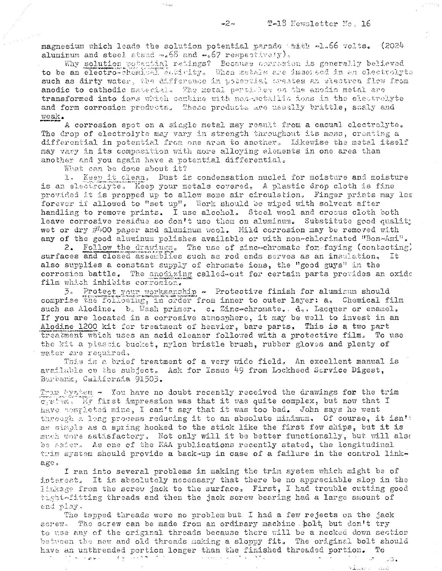magnesium which leads the solution potential parado takes -1.66 volts. (2024 aluminum and steel stand  $\sim_{\circ} 68$  and  $\sim_{\circ} 67$  respectively),

 $\sim \dot{\phi}_{\rm c,hot}$ 

Why solution potential ratings? Because corresion is generally believed to be an electro-chemical activity. When metals are immersed in an electrolyte such as dirty water, the difference in potential trestes an slectron flow from anodic to cathodic material. The metal particles on the anodic metal are transformed into ions which combine with nea-metalliz ions in the electrolyte and form corrosion products. These products are usually brittle, scaly and weak.

A corrosion spot on a single metal may result from a casual electrolyte. The drop of electrolyte may vary in strength throughout its mass, creating a differential in potential from one area to another. Likewise the metal itself may vary in its composition with more alloying elements in one area than another and you again have a potential differential.

What can be done about it?

1. Keep it clean. Dust is condensation nuclei for moisture and moisture is an electrolyte. Keep your metals covered, A plastic drop cloth is fine provided it is propped up to allow some air circulation. Finger prints may las forever if allowed to "set up". Work should be wiped with solvent after handling to remove prints. I use alcohol. Steel wool and crosus cloth both leave corrosive residue so don't use them on aluminum. Substitute good quality wet or dry  $\#400$  paper and aluminum wool. Mild corrosion may be removed with any of the good aluminum polishes available or with non-chlorinated "Bon-Ami".

2. Follow the drawings. The use of zinc-chromate for faying (contacting) surfaces and closed assemblies such as rod ends serves as an insulation. It also supplies a constant supply of chromate ions, the "good guys" in the corrosion battle. The anodizing called out for certain parts provides an oxide film which inhibits corrosion.

3. Protect your worksanship - Protective finish for aluminum should comprise the following, in order from inner to outer layer: a, Chemical film such as Alodine. b. Wash primer, c. Zinc-chromate. d., Lacquer or enamel. If you are located in a corrosive atmosphere, it may be well to invest in an Alodine 1200 kit for treatment of heavier, bare parts. This is a two part treatment which uses an acid cleaner followed with a protective film. To use the kit a plastic bucket, nylon bristle brush, rubber gloves and plenty of water are required,

This is a brief treatment of a very wide field, An excellent manual is available on the subject. Ask for Issue 49 from Lockheed Sarvice Digest, Burbank, California 91503.

Trum System - You have no doubt recently received the drawings for the trim egstem. My first impression was that it was quite complex, but now that I have nompleted mine, I can't say that it was too bad. John says he went through a long process reducing it to an absolute minimum. Of course, it isn't as simple as a spring hooked to the stick like the first few ships, but it is much more satisfactory. Not only will it be better functionally, but will also be safer. As one of the EAA publications recently stated, the longitudinal thim system should provide a back-up in case of a failure in the control linkage.

I ran into several problems in making the trim system which might be of interest. It is absolutely necessary that there be no appreciable slop in the linkage from the screw jack to the surface, First, I had trouble cutting good tight-fitting threads and then the jack screw bearing had a large amount of end play.

The tapped threads were no problem but. I had a few rejects on the jack The screw can be made from an ordinary machine polt, but don't try SCPOW. to use any of the original threads because there will be a necked down section between the new and old threads making a sloppy fit. The original bolt should have an unthreaded portion longer than the finished threaded portion. To  $\mathbb{R}^{N}$  is a probability  $\mathcal{A}(\mathbf{w})$ 医心包的 医心包 计整理 计集中的  $\mathbb{R}^{\mathbb{Z}}$ ्र के ब

 $\rightarrow$  12  $\hat{G}$ 

بمستفاة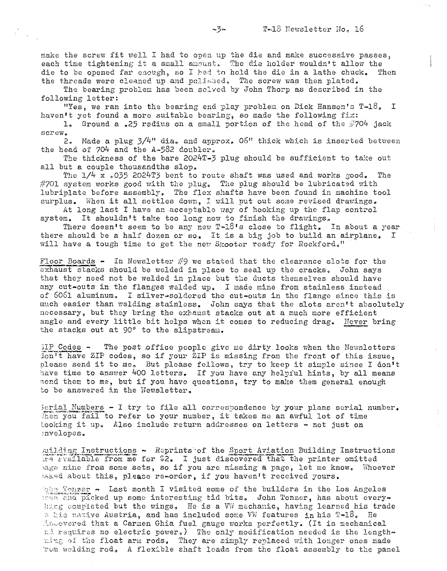make the screw fit well I had to open up the die and make successive passes, each time tightening it a small amount. The die holder wouldn't allow the  $\overline{d}$  die to be opened far enough, so I had to hold the die in a lathe chuck. Then die to be opened far enough, so I had to hold the die in a lathe chuck. the threads were cleaned up and polished. The screw was then plated.

The bearing problem has been solved by John Thorp as described in the following letter:

"Yes, we ran into the bearing end play problem on Dick Hanson's T-18. I haven't yet found a more suitable bearing, so made the following fix:

1. Ground a .25 radius on a small portion of the head of the  $\#704$  jack screw.

2. Made a plug  $3/4$ " dia, and approx. 06" thick which is inserted between the head of 704 and the A-582 doubler.

The thickness of the bare 2024T-3 plug should be sufficient to take out all but a couple thousandths slop.

The  $1/4$  x .035 2024T3 bent to route shaft was used and works good. The  $#701$  system works good with the plug. The plug should be lubricated with lubriplate before assembly. The flex shafts have been found in machine tool surplus. When it all settles down, I will put out some revised drawings.

At long last I have an acceptable way of hooking up the flap control system. It shouldn't take too long now to finish the drawings.

There doesn't seem to be any new  $T=18$ 's close to flight. In about a year there should be a half dozen or so. It is a big job to build an airplane. I will have a tough time to get the new Skooter ready for Rockford."

Floor Boards  $\sim$  In Newsletter  $\#9$  we stated that the clearance slots for the exhaust stacks should be welded in place to seal up the cracks. John says that they need not be welded in place but the ducts themselves should have any cut-outs in the flanges welded up. I made mine from stainless instead of 6061 aluminum. I silver-soldered the cut-outs in the flange since this is much easier than welding stainless. John says that the slots aren't absolutely necessary, but they bring the exhaust stacks out at a much more efficient angle and every little bit helps when it comes to reducing drag. Never bring the stacks out at  $90^\circ$  to the slipstream.

 $3IP$  Codes  $\sim$  The post office people give me dirty looks when the Newsletters Ton't have ZIP codes, so if your ZIP is missing from the front of this issue, please send it to me. But please fellows, try to keep it simple since I don't have time to answer 400 letters. If you have any helpful hints, by all means send them to me, but if you have questions, try to make them general enough to be answered in the Newsletter.

 $3$ erial Numbers  $-$  I try to file all correspondence by your plans serial number. Then you fail to refer to your number, it takes me an awful lot of time Looking it up. Also include return addresses on letters - not just on **::nvelopes <sup>o</sup>**

building Instructions - Reprints of the Sport Aviation Building Instructions the stailable from me for \$2. I just discovered that the printer omitted hage nine from some sets, so if you are missing a page, let me know. Whoever  $15k$ -9d about this, please re-order, if you haven't received yours.

 $\log n$  Tonzer  $\rightarrow$  Last month I visited some of the builders in the Los Angeles  $|100\rangle$  2114 picked up some interesting tid bits. John Tonzer, has about everyhing completed but the wings. He is a VW mechanic, having learned his trade n his native Austria, and has included some VW features in his  $T-18$ . He \_'.c,,\_ov8red that a Carmen Ghia fuel gauge works perfectly. (It is mechanical ::5 **:cegy.iras no electric power.,) The only modification needed is the length-**  $\min_{E}$  of the float arm rods. They are simply replaced with longer ones made ·1:'e'm vrcIding rod. A flexible shaft leads from the float assembly to the panel

 $-2$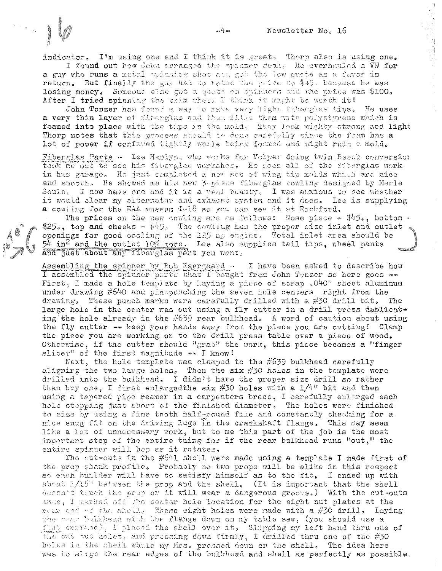indicator. I'm using one and I think it is great, Thorp also is using one. I found out how John arranged the spinner deal. He overhauled a WW for

a guy who runs a metal spinning shop and got the low quote as a favor in return. But finally the gay had to ratee the price to \$45, because he was losing money. Someone else got a gacts on symmers and the price was \$100. After I tried spinning the trim wheth I think it might be worth it!

John Tonzer has found a way to rake very light fiberglas tips. He uses a very thin layer of fibergias and then fills them with polystyrene which is foamed into place with the thps in the mold. They look wighty strong and light Thorp notes that this process should to done carefully since the foam has a lot of power if confaned tightly while being foamed and might ruin a mold.

Fiberglas Parts - Lee Hankyn, who werks for Volpar doing twin Beech conversion took me out to see his fiberglas workshen, He does all of the fiberglas work in has garage. He just completed a new set of wing tip molds which are nice and smooth. He showed me his new perisce tiberglas cowling designed by Merle Soule. I now have one and it is a real beauty. I was anxious to see whether it would clear my aiternator and exhaust system and it does. Lee is supplying a cowling for the EAA museum 1-18 so you can see it at Rechford.

The prices on the new cowling are as follows: Nose piece  $*$  \$45., bottom  $*$ \$25., top and cheeks  $-$  \$45. The coviting has the proper size inlet and outlet openings for good cooling of the 125 hp engine. Total inlet area should be<br>54 in<sup>2</sup> and the outlet 10% more. Lee also supplies tail tips, wheel pants and just about any fiberglas part you went,

Assembling the spinner by Eob Kaergaard I have been asked to describe how I assembled the spinner parts that I bought from John Tenzer so here goes --First, I made a hole template by laying a piece of scrap  $_9$ 040" sheet aluminum under drawing  $\#640$  and pin $\approx$ punching the seven hole centers right from the drawing. These punch marks were carefully drilled with a #30 drill bit. The large hole in the center was cut using a fly cutter in a drill press daplicat. ing the hole already in the  $#639$  rear bulkhead, A word of caution about using the fly cutter -- keep your hands away from the piece you are cutting! Clamp the piece you are working on to the drill press table over a piece of wood. Otherwise, if the cutter should "grab" the work, this piece becomes a "finger slicer" of the first magnitude -~ I know!

Next, the hole template was clamped to the  $\#659$  bulkhead carefully aligning the two large holes. Then the six  $#30$  holes in the template were drilled into the buikhead. I didn't have the proper size drill so rather than buy one, I first enlarged the six #30 holes with a  $1/4$ <sup>n</sup> bit and then using a tapered pipe reamer in a carpenters brace, I carefully enlarged each hole stopping just short of the finished diameter, The holes were finished to size by using a fine tooth half round file and constantly checking for a nice snug fit on the driving lugs in the crankshaft flange. This may seem like a lot of unnecessary work, but to me this part of the job is the most important step of the entire thing for if the rear bulkhead runs "out," the entire spinner will hop as it rotates.

The cut-outs in the #641 shell were made using a template I made first of the prop shank profile. Probably no two props will be alike in this respect so each builder will have to satisfy himself as to the fit. I ended up with about  $1/16$ <sup>1</sup> between the prop and the shell. (It is important that the shell deesa't beach the prop on it will wear a dangerous grocve.) With the out-outs aals, I marked off the center hole location for the eight nut plates at the roar ond with shell. These eight holes were made with a #30 drill. Laying the near bulkhead with the flange down on my table saw, (you should use a flat surface), I placed the shell over it. Slipping my left hand thru one of the out not holes, and pressing down firmly, I drilled thru one of the #30 boles in the shell whale my Mrs. pressed down on the shell. The idea here was to align the rear edges of the bulkhead and shell as perfectly as possible.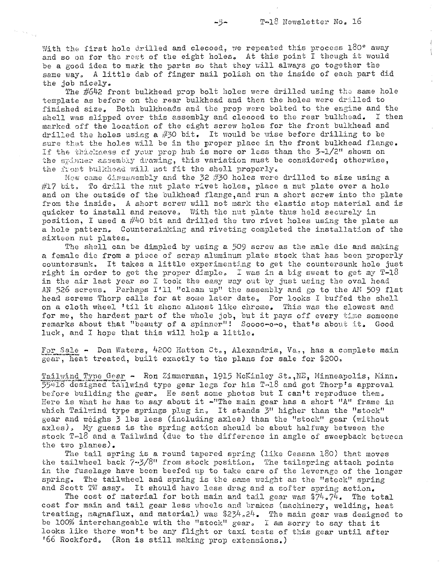With the first hole drilled and clecoed, we repeated this process  $180^\circ$  away and so on for the rest of the eight holes. At this point I though it would be a good idea to mark the parts so that they will always go together the same way, A little dab of finger nail polish on the inside of each part did the job nicely.

The #642 front bulkhead prop bolt holes were drilled using the same hole template as before on the rear bulkhead and then the holes were drilled to finished size. Both bulkheads and the prop were bolted to the engine and the shell was slipped over this assembly and cleooed to the rear bulkhead. I then marked off the location of the eight screw holes for the front bulkhead and drilled the holes using a #30 bit. It would be wise before drilling to be sure that the holes will be in the proper place in the front bulkhead flange. If the thickness of your prop hub is more or less than the  $3-1/2"$  shown on the spinner assembly drawing, this variation must be considered; otherwise, **the front bulkhoad will not fit the shell properly.** 

Now came disassembly and the 32 #30 holes were drilled to size using a  $#17$  bit. To drill the nut plate rivet holes, place a nut plate over a hole and on the outside of the bulkhead flange,and run a short screw into the plate from the inside. A short screw will not mark the elastic stop material and is quicker to install and remove, With the nut plate thus held securely in position, I used a  $\#40$  bit and drilled the two rivet holes using the plate as a hole pattern. Countersinking and riveting completed the installation of the sixteen nut plates.

The shell can be dimpled by using a 509 screw as the male die and making a female die from a piece of scrap aluminum plate stock that has been properly countersunk. It takes a little experimentj.ng to get the countersunk hole just right in order to get the proper dimple. I was in a big sweat to get my  $T-18$ in the air last year so I took the easy way out by just using the oval head AN 526 screws. Perhaps I'll "clean up" the assembly and go to the AN 509 flat head screws Thorp calls for at some later date. For looks I buffed the shell on a cloth wheel 'til it shone almost like chrome. This was the slowest and for me, the hardest part of the whole job, but it pays off every time someone remarks about that "beauty of a spinner"! Soooo-o-o, that's about it. Good luck, and I hope that this will help a little.

For Sale - Don Waters, 4200 Hatton Ct., Alexandria, Va., has a complete main gear, heat treated, built exactly to the plans for sale for \$200,

Tailwind Type Gear - Ron Zimmerman, 1915 McKinley St., NE, Minneapolis, Minn.  $55413$  designed tailwind type gear legs for his T-18 and got Thorp's approval before building the gear. He sent some photos but I can't reproduce them. Here is what he has to say about it  $-$ "The main gear has a short "A" frame in which Tailwind type springs plug in, It stands 3" higher than the "stock" gear and weighs 3 lbs less (including axles) than the "stock" gear (without axles), My guess is the spring action should be about halfway between the stock  $T-18$  and a Tailwind (due to the difference in angle of sweepback between the two planes).

The tail spring is a round tapered spring (like Cessna 180) that moves the tailwheel back  $7\cdot 3/8$ <sup>"</sup> from stock position. The tailspring attach points in the fuselage have been beefed up to take care of the leverage of the longer spring. The tailwheel and spring is the same weight as the "stock" spring and Scott TW assy. It should have less drag and a softer spring action.

The cost of material for both main and tail gear was  $$74.74$ . The total cost for main and tail gear less wheels and brakes (machinery, welding, heat treating, magnaflux, and material) was \$234.24. The main gear was designed to be 100% interchangeable with the "stock" gear. I am sorry to say that it looks like there won't be any flight or taxi tests of this gear until after '66 Rockford. (Ron is still making prop extensions.)